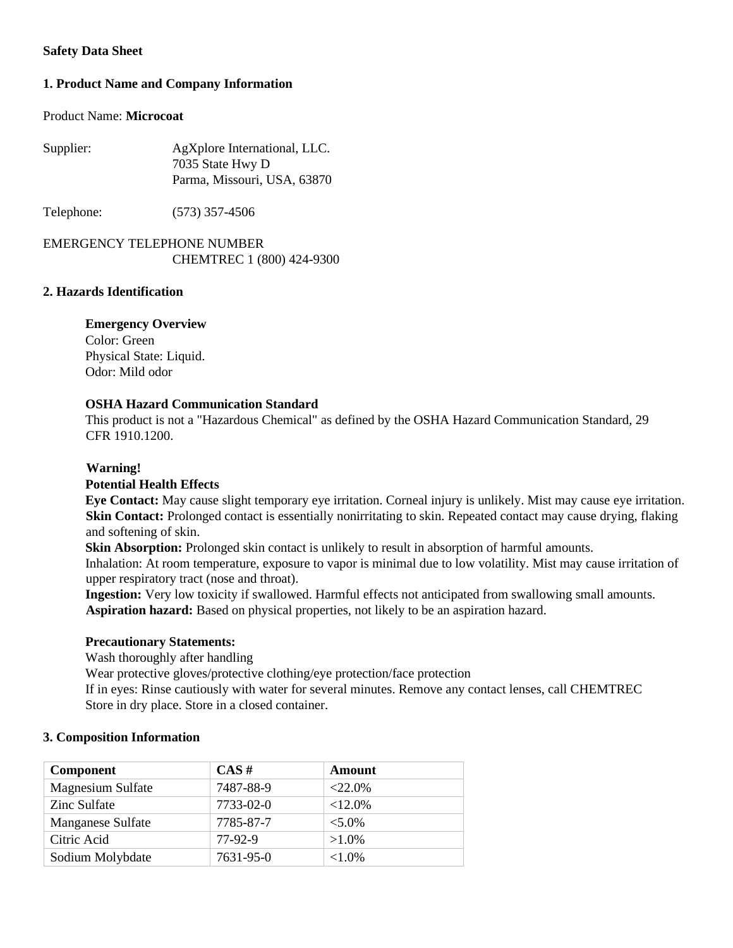## **Safety Data Sheet**

# **1. Product Name and Company Information**

### Product Name: **Microcoat**

| Supplier: | AgXplore International, LLC. |  |
|-----------|------------------------------|--|
|           | 7035 State Hwy D             |  |
|           | Parma, Missouri, USA, 63870  |  |

Telephone: (573) 357-4506

# EMERGENCY TELEPHONE NUMBER CHEMTREC 1 (800) 424-9300

### **2. Hazards Identification**

### **Emergency Overview**

Color: Green Physical State: Liquid. Odor: Mild odor

## **OSHA Hazard Communication Standard**

This product is not a "Hazardous Chemical" as defined by the OSHA Hazard Communication Standard, 29 CFR 1910.1200.

## **Warning!**

#### **Potential Health Effects**

**Eye Contact:** May cause slight temporary eye irritation. Corneal injury is unlikely. Mist may cause eye irritation. **Skin Contact:** Prolonged contact is essentially nonirritating to skin. Repeated contact may cause drying, flaking and softening of skin.

**Skin Absorption:** Prolonged skin contact is unlikely to result in absorption of harmful amounts. Inhalation: At room temperature, exposure to vapor is minimal due to low volatility. Mist may cause irritation of upper respiratory tract (nose and throat).

**Ingestion:** Very low toxicity if swallowed. Harmful effects not anticipated from swallowing small amounts. **Aspiration hazard:** Based on physical properties, not likely to be an aspiration hazard.

## **Precautionary Statements:**

Wash thoroughly after handling

Wear protective gloves/protective clothing/eye protection/face protection

If in eyes: Rinse cautiously with water for several minutes. Remove any contact lenses, call CHEMTREC Store in dry place. Store in a closed container.

## **3. Composition Information**

| <b>Component</b>         | CAS#      | Amount     |
|--------------------------|-----------|------------|
| <b>Magnesium Sulfate</b> | 7487-88-9 | $<22.0\%$  |
| Zinc Sulfate             | 7733-02-0 | $<12.0\%$  |
| Manganese Sulfate        | 7785-87-7 | $< 5.0\%$  |
| Citric Acid              | 77-92-9   | $>1.0\%$   |
| Sodium Molybdate         | 7631-95-0 | ${<}1.0\%$ |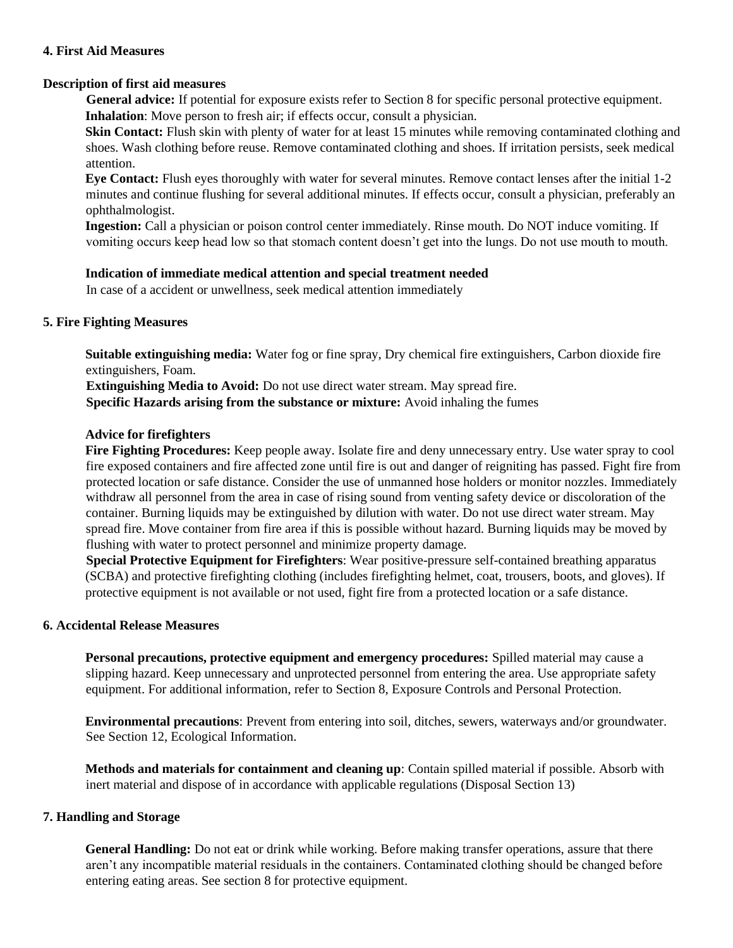### **4. First Aid Measures**

## **Description of first aid measures**

**General advice:** If potential for exposure exists refer to Section 8 for specific personal protective equipment. **Inhalation**: Move person to fresh air; if effects occur, consult a physician.

**Skin Contact:** Flush skin with plenty of water for at least 15 minutes while removing contaminated clothing and shoes. Wash clothing before reuse. Remove contaminated clothing and shoes. If irritation persists, seek medical attention.

**Eye Contact:** Flush eyes thoroughly with water for several minutes. Remove contact lenses after the initial 1-2 minutes and continue flushing for several additional minutes. If effects occur, consult a physician, preferably an ophthalmologist.

**Ingestion:** Call a physician or poison control center immediately. Rinse mouth. Do NOT induce vomiting. If vomiting occurs keep head low so that stomach content doesn't get into the lungs. Do not use mouth to mouth.

## **Indication of immediate medical attention and special treatment needed**

In case of a accident or unwellness, seek medical attention immediately

# **5. Fire Fighting Measures**

**Suitable extinguishing media:** Water fog or fine spray, Dry chemical fire extinguishers, Carbon dioxide fire extinguishers, Foam.

**Extinguishing Media to Avoid:** Do not use direct water stream. May spread fire.

**Specific Hazards arising from the substance or mixture:** Avoid inhaling the fumes

## **Advice for firefighters**

**Fire Fighting Procedures:** Keep people away. Isolate fire and deny unnecessary entry. Use water spray to cool fire exposed containers and fire affected zone until fire is out and danger of reigniting has passed. Fight fire from protected location or safe distance. Consider the use of unmanned hose holders or monitor nozzles. Immediately withdraw all personnel from the area in case of rising sound from venting safety device or discoloration of the container. Burning liquids may be extinguished by dilution with water. Do not use direct water stream. May spread fire. Move container from fire area if this is possible without hazard. Burning liquids may be moved by flushing with water to protect personnel and minimize property damage.

**Special Protective Equipment for Firefighters**: Wear positive-pressure self-contained breathing apparatus (SCBA) and protective firefighting clothing (includes firefighting helmet, coat, trousers, boots, and gloves). If protective equipment is not available or not used, fight fire from a protected location or a safe distance.

## **6. Accidental Release Measures**

**Personal precautions, protective equipment and emergency procedures:** Spilled material may cause a slipping hazard. Keep unnecessary and unprotected personnel from entering the area. Use appropriate safety equipment. For additional information, refer to Section 8, Exposure Controls and Personal Protection.

**Environmental precautions**: Prevent from entering into soil, ditches, sewers, waterways and/or groundwater. See Section 12, Ecological Information.

**Methods and materials for containment and cleaning up**: Contain spilled material if possible. Absorb with inert material and dispose of in accordance with applicable regulations (Disposal Section 13)

## **7. Handling and Storage**

**General Handling:** Do not eat or drink while working. Before making transfer operations, assure that there aren't any incompatible material residuals in the containers. Contaminated clothing should be changed before entering eating areas. See section 8 for protective equipment.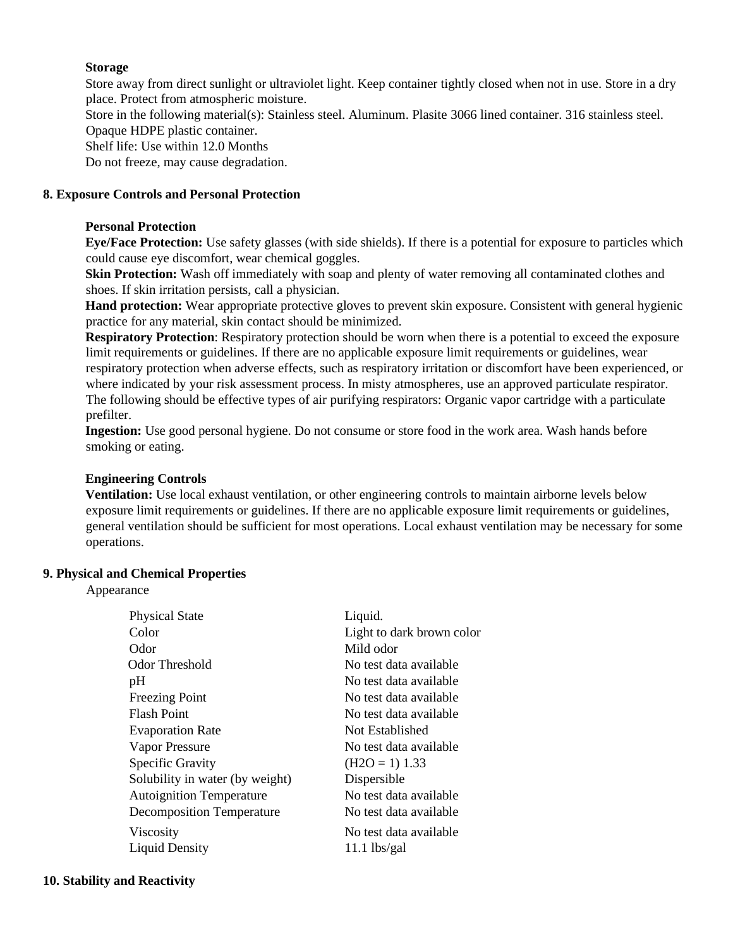### **Storage**

Store away from direct sunlight or ultraviolet light. Keep container tightly closed when not in use. Store in a dry place. Protect from atmospheric moisture.

Store in the following material(s): Stainless steel. Aluminum. Plasite 3066 lined container. 316 stainless steel. Opaque HDPE plastic container.

Shelf life: Use within 12.0 Months

Do not freeze, may cause degradation.

### **8. Exposure Controls and Personal Protection**

#### **Personal Protection**

**Eye/Face Protection:** Use safety glasses (with side shields). If there is a potential for exposure to particles which could cause eye discomfort, wear chemical goggles.

**Skin Protection:** Wash off immediately with soap and plenty of water removing all contaminated clothes and shoes. If skin irritation persists, call a physician.

**Hand protection:** Wear appropriate protective gloves to prevent skin exposure. Consistent with general hygienic practice for any material, skin contact should be minimized.

**Respiratory Protection**: Respiratory protection should be worn when there is a potential to exceed the exposure limit requirements or guidelines. If there are no applicable exposure limit requirements or guidelines, wear respiratory protection when adverse effects, such as respiratory irritation or discomfort have been experienced, or where indicated by your risk assessment process. In misty atmospheres, use an approved particulate respirator. The following should be effective types of air purifying respirators: Organic vapor cartridge with a particulate prefilter.

**Ingestion:** Use good personal hygiene. Do not consume or store food in the work area. Wash hands before smoking or eating.

#### **Engineering Controls**

**Ventilation:** Use local exhaust ventilation, or other engineering controls to maintain airborne levels below exposure limit requirements or guidelines. If there are no applicable exposure limit requirements or guidelines, general ventilation should be sufficient for most operations. Local exhaust ventilation may be necessary for some operations.

### **9. Physical and Chemical Properties**

Appearance

| <b>Physical State</b>            | Liquid.                   |
|----------------------------------|---------------------------|
| Color                            | Light to dark brown color |
| Odor                             | Mild odor                 |
| Odor Threshold                   | No test data available    |
| pH                               | No test data available    |
| <b>Freezing Point</b>            | No test data available    |
| <b>Flash Point</b>               | No test data available    |
| <b>Evaporation Rate</b>          | Not Established           |
| Vapor Pressure                   | No test data available    |
| Specific Gravity                 | $(H2O = 1) 1.33$          |
| Solubility in water (by weight)  | Dispersible               |
| <b>Autoignition Temperature</b>  | No test data available    |
| <b>Decomposition Temperature</b> | No test data available    |
| Viscosity                        | No test data available    |
| <b>Liquid Density</b>            | $11.1$ lbs/gal            |
|                                  |                           |

#### **10. Stability and Reactivity**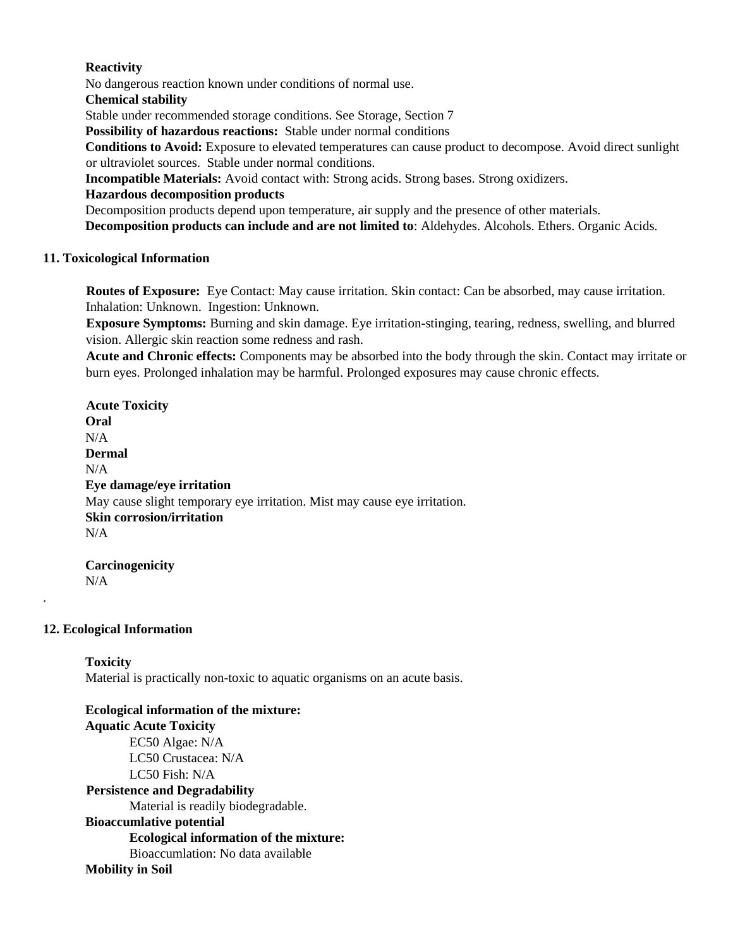## **Reactivity**

No dangerous reaction known under conditions of normal use.

**Chemical stability** 

Stable under recommended storage conditions. See Storage, Section 7

**Possibility of hazardous reactions:** Stable under normal conditions

**Conditions to Avoid:** Exposure to elevated temperatures can cause product to decompose. Avoid direct sunlight or ultraviolet sources. Stable under normal conditions.

**Incompatible Materials:** Avoid contact with: Strong acids. Strong bases. Strong oxidizers.

# **Hazardous decomposition products**

Decomposition products depend upon temperature, air supply and the presence of other materials.

**Decomposition products can include and are not limited to**: Aldehydes. Alcohols. Ethers. Organic Acids.

# **11. Toxicological Information**

**Routes of Exposure:** Eye Contact: May cause irritation. Skin contact: Can be absorbed, may cause irritation. Inhalation: Unknown. Ingestion: Unknown.

**Exposure Symptoms:** Burning and skin damage. Eye irritation-stinging, tearing, redness, swelling, and blurred vision. Allergic skin reaction some redness and rash.

**Acute and Chronic effects:** Components may be absorbed into the body through the skin. Contact may irritate or burn eyes. Prolonged inhalation may be harmful. Prolonged exposures may cause chronic effects.

**Acute Toxicity Oral**   $N/A$ **Dermal**  N/A **Eye damage/eye irritation**  May cause slight temporary eye irritation. Mist may cause eye irritation. **Skin corrosion/irritation**  N/A

**Carcinogenicity**  N/A

# **12. Ecological Information**

.

**Toxicity**  Material is practically non-toxic to aquatic organisms on an acute basis.

**Ecological information of the mixture: Aquatic Acute Toxicity** EC50 Algae: N/A LC50 Crustacea: N/A LC50 Fish: N/A **Persistence and Degradability**  Material is readily biodegradable. **Bioaccumlative potential Ecological information of the mixture:** Bioaccumlation: No data available **Mobility in Soil**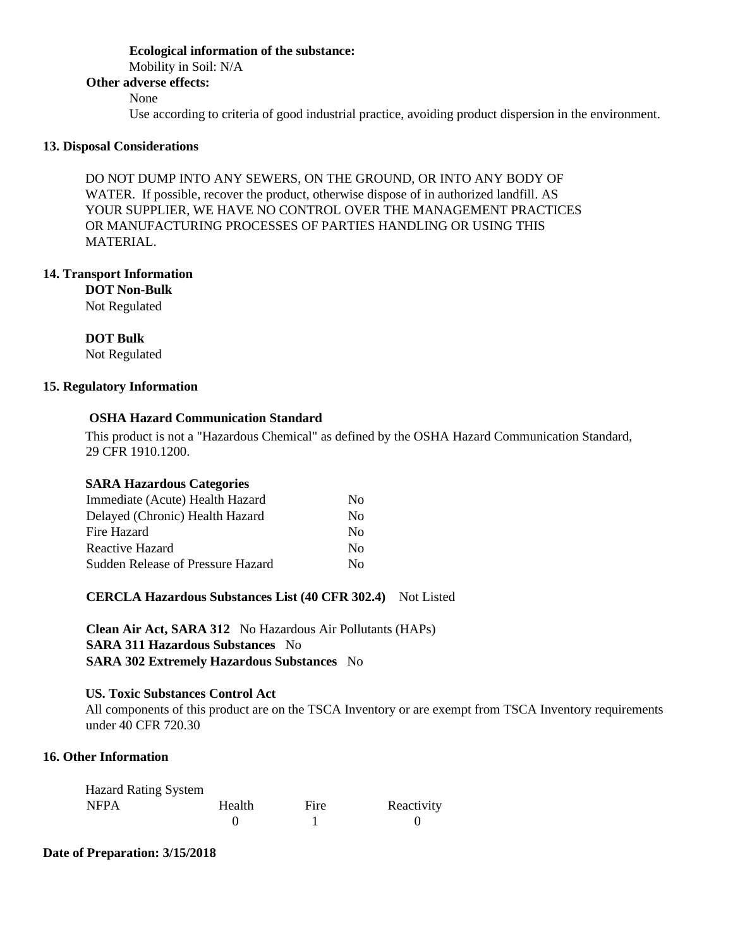# **Ecological information of the substance:** Mobility in Soil: N/A **Other adverse effects:**  None Use according to criteria of good industrial practice, avoiding product dispersion in the environment.

### **13. Disposal Considerations**

DO NOT DUMP INTO ANY SEWERS, ON THE GROUND, OR INTO ANY BODY OF WATER. If possible, recover the product, otherwise dispose of in authorized landfill. AS YOUR SUPPLIER, WE HAVE NO CONTROL OVER THE MANAGEMENT PRACTICES OR MANUFACTURING PROCESSES OF PARTIES HANDLING OR USING THIS MATERIAL.

### **14. Transport Information**

**DOT Non-Bulk** 

Not Regulated

**DOT Bulk** 

Not Regulated

### **15. Regulatory Information**

## **OSHA Hazard Communication Standard**

This product is not a "Hazardous Chemical" as defined by the OSHA Hazard Communication Standard, 29 CFR 1910.1200.

## **SARA Hazardous Categories**

| Immediate (Acute) Health Hazard   | Nο           |
|-----------------------------------|--------------|
| Delayed (Chronic) Health Hazard   | Nο           |
| Fire Hazard                       | Nο           |
| Reactive Hazard                   | Nο           |
| Sudden Release of Pressure Hazard | $N_{\Omega}$ |

**CERCLA Hazardous Substances List (40 CFR 302.4)** Not Listed

**Clean Air Act, SARA 312** No Hazardous Air Pollutants (HAPs) **SARA 311 Hazardous Substances** No **SARA 302 Extremely Hazardous Substances** No

### **US. Toxic Substances Control Act**

All components of this product are on the TSCA Inventory or are exempt from TSCA Inventory requirements under 40 CFR 720.30

## **16. Other Information**

| <b>Hazard Rating System</b> |        |      |            |
|-----------------------------|--------|------|------------|
| <b>NFPA</b>                 | Health | Fire | Reactivity |
|                             |        |      |            |

#### **Date of Preparation: 3/15/2018**